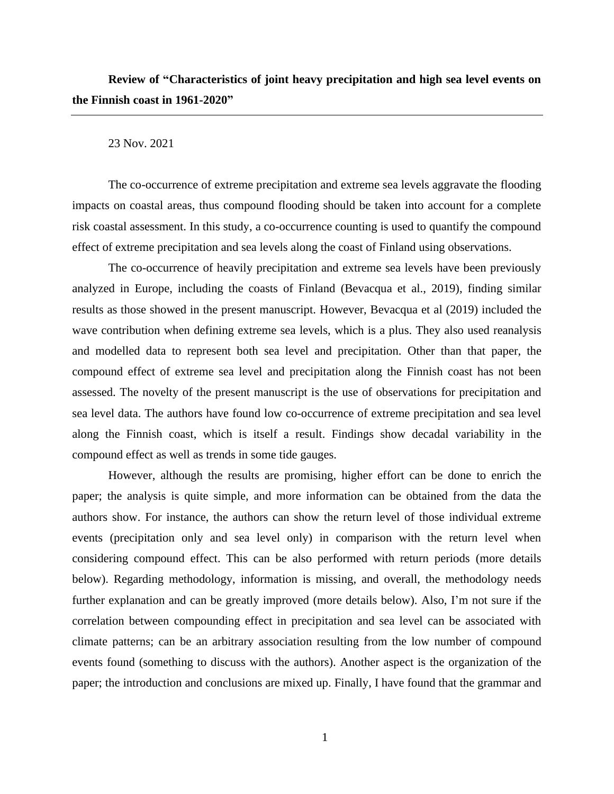23 Nov. 2021

The co-occurrence of extreme precipitation and extreme sea levels aggravate the flooding impacts on coastal areas, thus compound flooding should be taken into account for a complete risk coastal assessment. In this study, a co-occurrence counting is used to quantify the compound effect of extreme precipitation and sea levels along the coast of Finland using observations.

The co-occurrence of heavily precipitation and extreme sea levels have been previously analyzed in Europe, including the coasts of Finland (Bevacqua et al., 2019), finding similar results as those showed in the present manuscript. However, Bevacqua et al (2019) included the wave contribution when defining extreme sea levels, which is a plus. They also used reanalysis and modelled data to represent both sea level and precipitation. Other than that paper, the compound effect of extreme sea level and precipitation along the Finnish coast has not been assessed. The novelty of the present manuscript is the use of observations for precipitation and sea level data. The authors have found low co-occurrence of extreme precipitation and sea level along the Finnish coast, which is itself a result. Findings show decadal variability in the compound effect as well as trends in some tide gauges.

However, although the results are promising, higher effort can be done to enrich the paper; the analysis is quite simple, and more information can be obtained from the data the authors show. For instance, the authors can show the return level of those individual extreme events (precipitation only and sea level only) in comparison with the return level when considering compound effect. This can be also performed with return periods (more details below). Regarding methodology, information is missing, and overall, the methodology needs further explanation and can be greatly improved (more details below). Also, I'm not sure if the correlation between compounding effect in precipitation and sea level can be associated with climate patterns; can be an arbitrary association resulting from the low number of compound events found (something to discuss with the authors). Another aspect is the organization of the paper; the introduction and conclusions are mixed up. Finally, I have found that the grammar and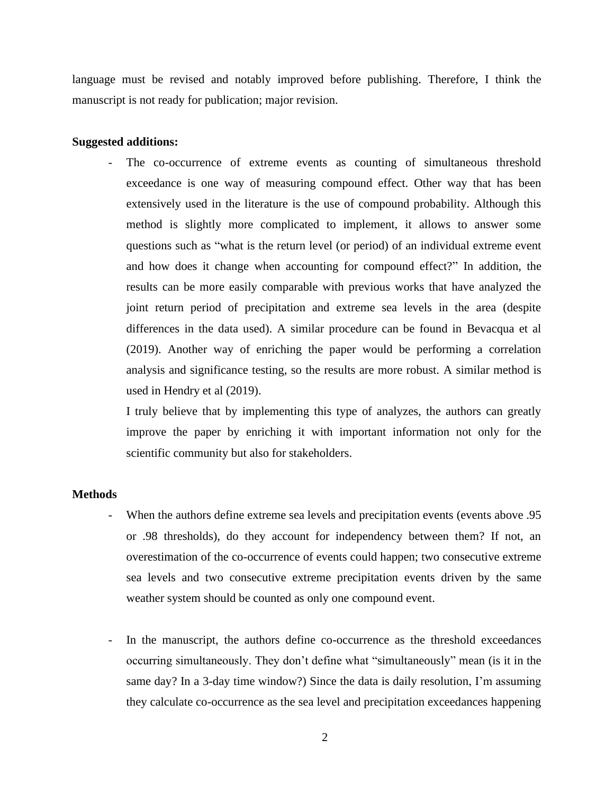language must be revised and notably improved before publishing. Therefore, I think the manuscript is not ready for publication; major revision.

## **Suggested additions:**

The co-occurrence of extreme events as counting of simultaneous threshold exceedance is one way of measuring compound effect. Other way that has been extensively used in the literature is the use of compound probability. Although this method is slightly more complicated to implement, it allows to answer some questions such as "what is the return level (or period) of an individual extreme event and how does it change when accounting for compound effect?" In addition, the results can be more easily comparable with previous works that have analyzed the joint return period of precipitation and extreme sea levels in the area (despite differences in the data used). A similar procedure can be found in Bevacqua et al (2019). Another way of enriching the paper would be performing a correlation analysis and significance testing, so the results are more robust. A similar method is used in Hendry et al (2019).

I truly believe that by implementing this type of analyzes, the authors can greatly improve the paper by enriching it with important information not only for the scientific community but also for stakeholders.

## **Methods**

- When the authors define extreme sea levels and precipitation events (events above .95 or .98 thresholds), do they account for independency between them? If not, an overestimation of the co-occurrence of events could happen; two consecutive extreme sea levels and two consecutive extreme precipitation events driven by the same weather system should be counted as only one compound event.
- In the manuscript, the authors define co-occurrence as the threshold exceedances occurring simultaneously. They don't define what "simultaneously" mean (is it in the same day? In a 3-day time window?) Since the data is daily resolution, I'm assuming they calculate co-occurrence as the sea level and precipitation exceedances happening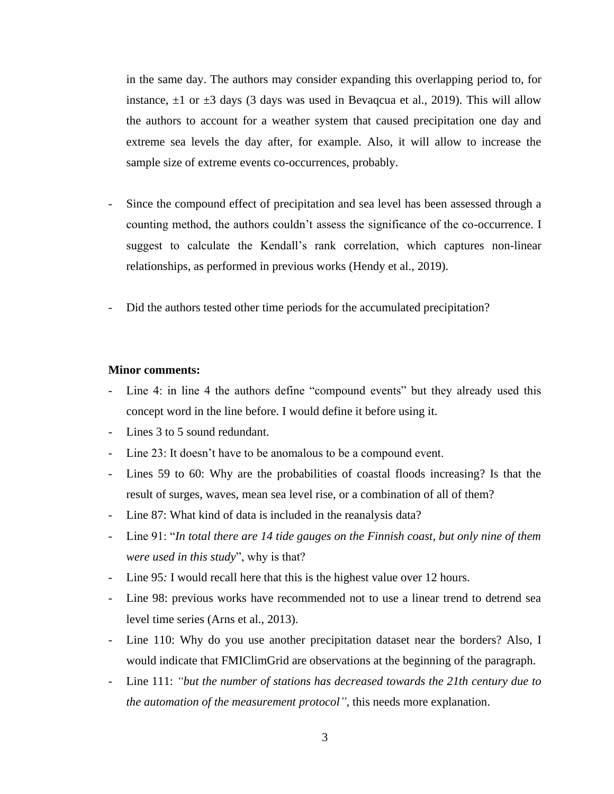in the same day. The authors may consider expanding this overlapping period to, for instance,  $\pm 1$  or  $\pm 3$  days (3 days was used in Bevaqcua et al., 2019). This will allow the authors to account for a weather system that caused precipitation one day and extreme sea levels the day after, for example. Also, it will allow to increase the sample size of extreme events co-occurrences, probably.

- Since the compound effect of precipitation and sea level has been assessed through a counting method, the authors couldn't assess the significance of the co-occurrence. I suggest to calculate the Kendall's rank correlation, which captures non-linear relationships, as performed in previous works (Hendy et al., 2019).
- Did the authors tested other time periods for the accumulated precipitation?

## **Minor comments:**

- Line 4: in line 4 the authors define "compound events" but they already used this concept word in the line before. I would define it before using it.
- Lines 3 to 5 sound redundant.
- Line 23: It doesn't have to be anomalous to be a compound event.
- Lines 59 to 60: Why are the probabilities of coastal floods increasing? Is that the result of surges, waves, mean sea level rise, or a combination of all of them?
- Line 87: What kind of data is included in the reanalysis data?
- Line 91: "*In total there are 14 tide gauges on the Finnish coast, but only nine of them were used in this study*", why is that?
- Line 95*:* I would recall here that this is the highest value over 12 hours.
- Line 98: previous works have recommended not to use a linear trend to detrend sea level time series (Arns et al., 2013).
- Line 110: Why do you use another precipitation dataset near the borders? Also, I would indicate that FMIClimGrid are observations at the beginning of the paragraph.
- Line 111: *"but the number of stations has decreased towards the 21th century due to the automation of the measurement protocol",* this needs more explanation.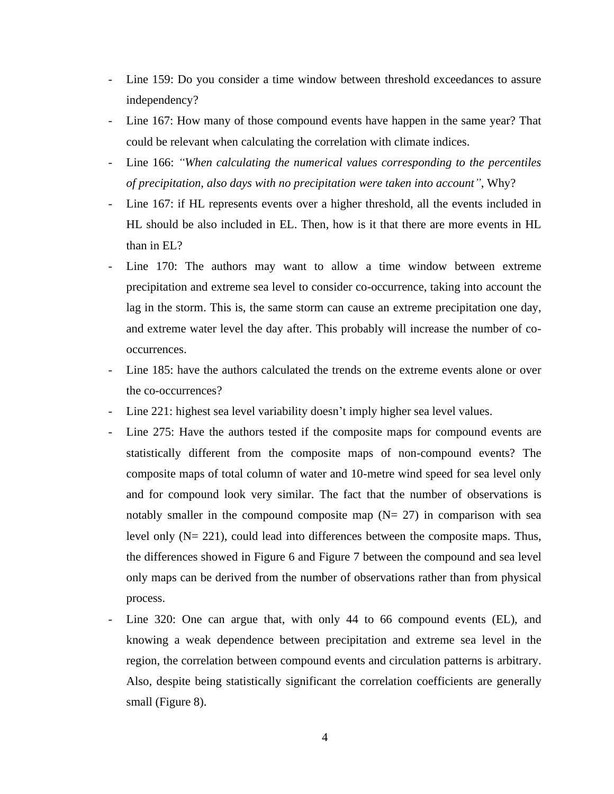- Line 159: Do you consider a time window between threshold exceedances to assure independency?
- Line 167: How many of those compound events have happen in the same year? That could be relevant when calculating the correlation with climate indices.
- Line 166: *"When calculating the numerical values corresponding to the percentiles of precipitation, also days with no precipitation were taken into account"*, Why?
- Line 167: if HL represents events over a higher threshold, all the events included in HL should be also included in EL. Then, how is it that there are more events in HL than in EL?
- Line 170: The authors may want to allow a time window between extreme precipitation and extreme sea level to consider co-occurrence, taking into account the lag in the storm. This is, the same storm can cause an extreme precipitation one day, and extreme water level the day after. This probably will increase the number of cooccurrences.
- Line 185: have the authors calculated the trends on the extreme events alone or over the co-occurrences?
- Line 221: highest sea level variability doesn't imply higher sea level values.
- Line 275: Have the authors tested if the composite maps for compound events are statistically different from the composite maps of non-compound events? The composite maps of total column of water and 10-metre wind speed for sea level only and for compound look very similar. The fact that the number of observations is notably smaller in the compound composite map  $(N= 27)$  in comparison with sea level only (N= 221), could lead into differences between the composite maps. Thus, the differences showed in Figure 6 and Figure 7 between the compound and sea level only maps can be derived from the number of observations rather than from physical process.
- Line 320: One can argue that, with only 44 to 66 compound events (EL), and knowing a weak dependence between precipitation and extreme sea level in the region, the correlation between compound events and circulation patterns is arbitrary. Also, despite being statistically significant the correlation coefficients are generally small (Figure 8).